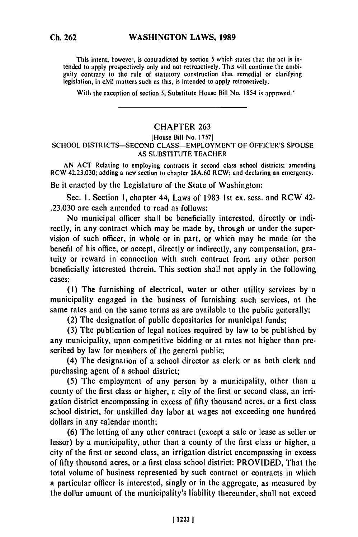This intent, however, is contradicted **by** section **5** which states that the act is intended to apply prospectively only and not retroactively. This will continue the ambiguity contrary prospectively only and not retroactively. This will continue the amouguity contrary to the rule of statutory construction that remediate of

With the exception of section **5,** Substitute House Bill No. 1854 is approved."

## **CHAPTER 263**

## [House Bill No. **17571 SCHOOL DISTRICTS-SECOND CLASS-EMPLOYMENT** OF OFFICER'S **SPOUSE AS SUBSTITUTE** TEACHER

**AN ACT** Relating to employing contracts in second class school districts; amending RCW 42.23.030; adding a new section to chapter **28A.60** RCW; and declaring an emergency.

Be it enacted **by** the Legislature of the State of Washington:

Sec. **1.** Section **1,** chapter 44, Laws of **1983** 1st **ex.** sess. and RCW 42- **.23.030** are each amended to read as follows:

No municipal officer shall be beneficially interested, directly or indirectly, in any contract which may be made **by,** through or under the supervision of such officer, in whole or in part, or which may **be** made for the benefit of his office, or accept, directly or indirectly, any compensation, gratuity or reward in connection with such contract from any other person beneficially interested therein. This section shall not apply in the following cases:

**(1)** The furnishing **of** electrical, water or other utility services **by** a municipality engaged in the business of furnishing such services, at the same rates and on the same terms as are available to the public generally;

(2) The designation of public depositaries for municipal funds;

**(3)** The publication of legal notices required **by** law to be published **by** any municipality, upon competitive bidding or at rates not higher than prescribed **by** law for members of the general public;

(4) The designation of a school director as clerk or as both clerk and purchasing agent of a school district;

**(5)** The employment of any person **by** a municipality, other than a county of the first class or higher, a city of the first or second class, an irrigation district encompassing in excess of **fifty** thousand acres, or a first class school district, for unskilled day labor at wages not exceeding one hundred dollars in any calendar month;

**(6)** The letting of any other contract (except a sale or lease as seller or lessor) **by** a municipality, other than a county of the first class or higher, a city of the first or second class, an irrigation district encompassing in excess of **fifty** thousand acres, or a first class school district: PROVIDED, That the total volume of business represented **by** such contract or contracts in which a particular officer is interested, singly or in the aggregate, as measured **by** the dollar amount of the municipality's liability thereunder, shall not exceed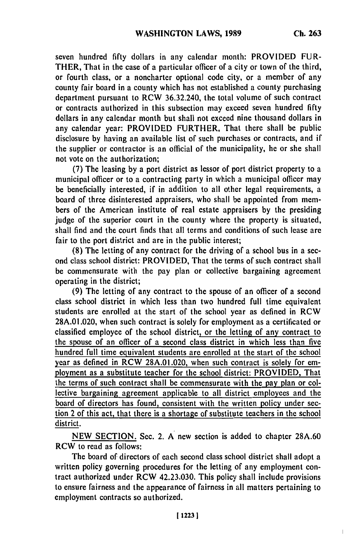$\overline{1}$ 

seven hundred **fifty** dollars in any calendar month: PROVIDED FUR-THER, That in the case of a particular officer of a city or town of the third, or fourth class, or a noncharter optional code city, or a member of any county fair board in a county which has not established a county purchasing department pursuant to RCW 36.32.240, the total volume of such contract or contracts authorized in this subsection may exceed seven hundred **fifty** dollars in any calendar month but shall not exceed nine thousand dollars in any calendar year: PROVIDED FURTHER, That there shall **be** public disclosure **by** having an available list of such purchases or contracts, and if the supplier or contractor is an official of the municipality, he or she shall not vote on the authorization;

**(7)** The leasing **by** a port district as lessor of port district property to a municipal officer or to a contracting party in which a municipal officer may be beneficially interested, if in addition to all other legal requirements, a board of three disinterested appraisers, who shall be appointed from members of the American institute of real estate appraisers **by** the presiding judge of the superior court in the county where the property is situated, shall find and the court finds that all terms and conditions of such lease are fair to the port district and are in the public interest;

**(8)** The letting of any contract for the driving of a school bus in a second class school district: PROVIDED, That the terms of such contract shall be commensurate with the pay plan or collective bargaining agreement operating in the district;

**(9)** The letting of any contract to the spouse of an officer of a second class school district in which less than two hundred full time equivalent students are enrolled at the start of the school year as defined in RCW **28A.01.020,** when such contract is solely for employment as a certificated or classified employee of the school district, or the letting of any contract to the spouse of an officer of a second class district in which less than five hundred full time equivalent students are enrolled at the start of the school year as defined in RCW **28A.01.020,** when such contract is solely for employment as a substitute teacher for the school district: PROVIDED, That the terms of such contract shall be commensurate with the pay plan or collective bargaining agreement applicable to all district employees and the board of directors has found, consistent with the written policy under section 2 of this act, that there is a shortage of substitute teachers in the school district.

**NEW SECTION.** Sec. 2. **A** new section is added to chapter **28A.60** RCW to read as follows:

The board of directors of each second class school district shall adopt a written policy governing procedures for the letting of any employment contract authorized under RCW 42.23.030. This policy shall include provisions to ensure fairness and the appearance of fairness in all matters pertaining to employment contracts so authorized.